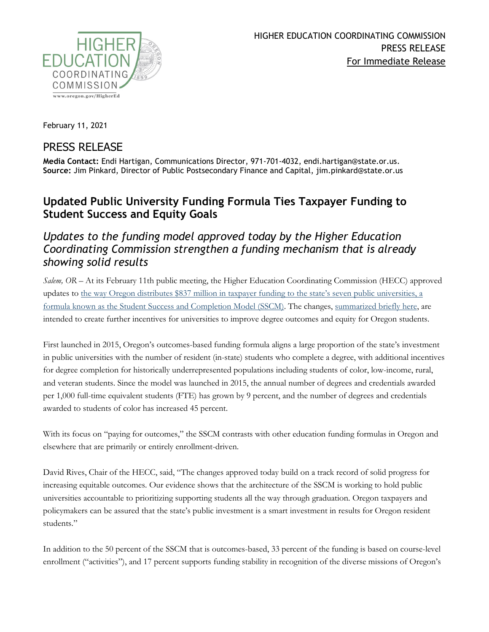

February 11, 2021

## PRESS RELEASE

**Media Contact:** Endi Hartigan, Communications Director, 971-701-4032, endi.hartigan@state.or.us. **Source:** Jim Pinkard, Director of Public Postsecondary Finance and Capital, jim.pinkard@state.or.us

## **Updated Public University Funding Formula Ties Taxpayer Funding to Student Success and Equity Goals**

## *Updates to the funding model approved today by the Higher Education Coordinating Commission strengthen a funding mechanism that is already showing solid results*

*Salem, OR –* At its February 11th public meeting, the Higher Education Coordinating Commission (HECC) approved updates to [the way Oregon distributes \\$837 million in taxpayer funding to the state's seven public universities, a](https://www.oregon.gov/highered/institutions-programs/postsecondary-finance-capital/Pages/university-funding-model.aspx)  [formula known as the Student Success and Completion Model \(SSCM\).](https://www.oregon.gov/highered/institutions-programs/postsecondary-finance-capital/Pages/university-funding-model.aspx) The changes, [summarized briefly here,](https://www.oregon.gov/highered/institutions-programs/postsecondary-finance-capital/SiteAssets/Pages/university-funding-model/SSCM%20summary.pdf) are intended to create further incentives for universities to improve degree outcomes and equity for Oregon students.

First launched in 2015, Oregon's outcomes-based funding formula aligns a large proportion of the state's investment in public universities with the number of resident (in-state) students who complete a degree, with additional incentives for degree completion for historically underrepresented populations including students of color, low-income, rural, and veteran students. Since the model was launched in 2015, the annual number of degrees and credentials awarded per 1,000 full-time equivalent students (FTE) has grown by 9 percent, and the number of degrees and credentials awarded to students of color has increased 45 percent.

With its focus on "paying for outcomes," the SSCM contrasts with other education funding formulas in Oregon and elsewhere that are primarily or entirely enrollment-driven.

David Rives, Chair of the HECC, said, "The changes approved today build on a track record of solid progress for increasing equitable outcomes. Our evidence shows that the architecture of the SSCM is working to hold public universities accountable to prioritizing supporting students all the way through graduation. Oregon taxpayers and policymakers can be assured that the state's public investment is a smart investment in results for Oregon resident students."

In addition to the 50 percent of the SSCM that is outcomes-based, 33 percent of the funding is based on course-level enrollment ("activities"), and 17 percent supports funding stability in recognition of the diverse missions of Oregon's